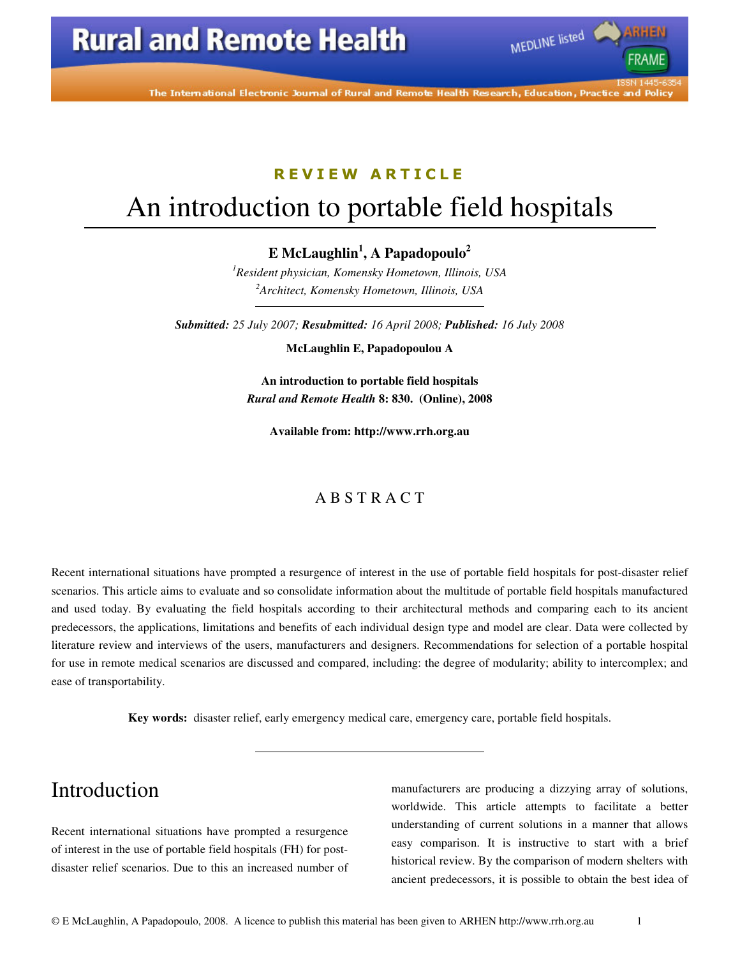# **Rural and Remote Health**



MEDLINE listed

#### R E V I E W A R T I C L E

# An introduction to portable field hospitals

**E McLaughlin<sup>1</sup> , A Papadopoulo<sup>2</sup>**

*<sup>1</sup>Resident physician, Komensky Hometown, Illinois, USA <sup>2</sup>Architect, Komensky Hometown, Illinois, USA* 

*Submitted: 25 July 2007; Resubmitted: 16 April 2008; Published: 16 July 2008* 

**McLaughlin E, Papadopoulou A** 

**An introduction to portable field hospitals**  *Rural and Remote Health* **8: 830. (Online), 2008** 

**Available from: http://www.rrh.org.au** 

#### A B S T R A C T

Recent international situations have prompted a resurgence of interest in the use of portable field hospitals for post-disaster relief scenarios. This article aims to evaluate and so consolidate information about the multitude of portable field hospitals manufactured and used today. By evaluating the field hospitals according to their architectural methods and comparing each to its ancient predecessors, the applications, limitations and benefits of each individual design type and model are clear. Data were collected by literature review and interviews of the users, manufacturers and designers. Recommendations for selection of a portable hospital for use in remote medical scenarios are discussed and compared, including: the degree of modularity; ability to intercomplex; and ease of transportability.

**Key words:** disaster relief, early emergency medical care, emergency care, portable field hospitals.

### Introduction

Recent international situations have prompted a resurgence of interest in the use of portable field hospitals (FH) for postdisaster relief scenarios. Due to this an increased number of

manufacturers are producing a dizzying array of solutions, worldwide. This article attempts to facilitate a better understanding of current solutions in a manner that allows easy comparison. It is instructive to start with a brief historical review. By the comparison of modern shelters with ancient predecessors, it is possible to obtain the best idea of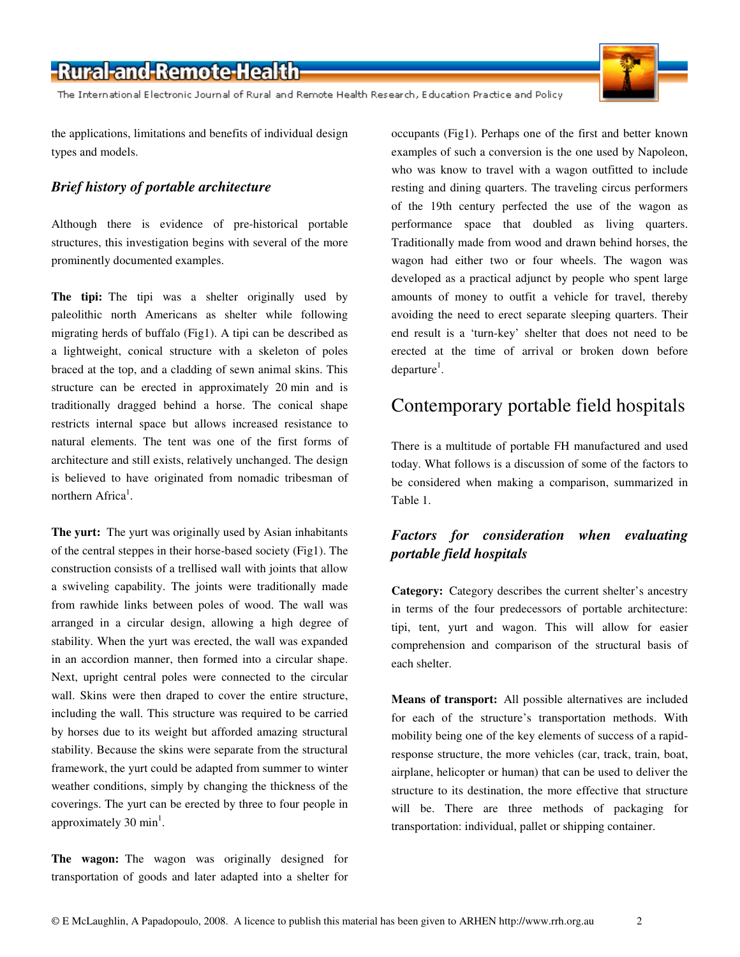The International Electronic Journal of Rural and Remote Health Research, Education Practice and Policy

the applications, limitations and benefits of individual design types and models.

#### *Brief history of portable architecture*

Although there is evidence of pre-historical portable structures, this investigation begins with several of the more prominently documented examples.

**The tipi:** The tipi was a shelter originally used by paleolithic north Americans as shelter while following migrating herds of buffalo (Fig1). A tipi can be described as a lightweight, conical structure with a skeleton of poles braced at the top, and a cladding of sewn animal skins. This structure can be erected in approximately 20 min and is traditionally dragged behind a horse. The conical shape restricts internal space but allows increased resistance to natural elements. The tent was one of the first forms of architecture and still exists, relatively unchanged. The design is believed to have originated from nomadic tribesman of northern Africa<sup>1</sup>.

**The yurt:** The yurt was originally used by Asian inhabitants of the central steppes in their horse-based society (Fig1). The construction consists of a trellised wall with joints that allow a swiveling capability. The joints were traditionally made from rawhide links between poles of wood. The wall was arranged in a circular design, allowing a high degree of stability. When the yurt was erected, the wall was expanded in an accordion manner, then formed into a circular shape. Next, upright central poles were connected to the circular wall. Skins were then draped to cover the entire structure, including the wall. This structure was required to be carried by horses due to its weight but afforded amazing structural stability. Because the skins were separate from the structural framework, the yurt could be adapted from summer to winter weather conditions, simply by changing the thickness of the coverings. The yurt can be erected by three to four people in approximately 30  $min<sup>1</sup>$ .

**The wagon:** The wagon was originally designed for transportation of goods and later adapted into a shelter for occupants (Fig1). Perhaps one of the first and better known examples of such a conversion is the one used by Napoleon, who was know to travel with a wagon outfitted to include resting and dining quarters. The traveling circus performers of the 19th century perfected the use of the wagon as performance space that doubled as living quarters. Traditionally made from wood and drawn behind horses, the wagon had either two or four wheels. The wagon was developed as a practical adjunct by people who spent large amounts of money to outfit a vehicle for travel, thereby avoiding the need to erect separate sleeping quarters. Their end result is a 'turn-key' shelter that does not need to be erected at the time of arrival or broken down before  $\text{ departure}^1$ .

#### Contemporary portable field hospitals

There is a multitude of portable FH manufactured and used today. What follows is a discussion of some of the factors to be considered when making a comparison, summarized in Table 1.

#### *Factors for consideration when evaluating portable field hospitals*

**Category:** Category describes the current shelter's ancestry in terms of the four predecessors of portable architecture: tipi, tent, yurt and wagon. This will allow for easier comprehension and comparison of the structural basis of each shelter.

**Means of transport:** All possible alternatives are included for each of the structure's transportation methods. With mobility being one of the key elements of success of a rapidresponse structure, the more vehicles (car, track, train, boat, airplane, helicopter or human) that can be used to deliver the structure to its destination, the more effective that structure will be. There are three methods of packaging for transportation: individual, pallet or shipping container.

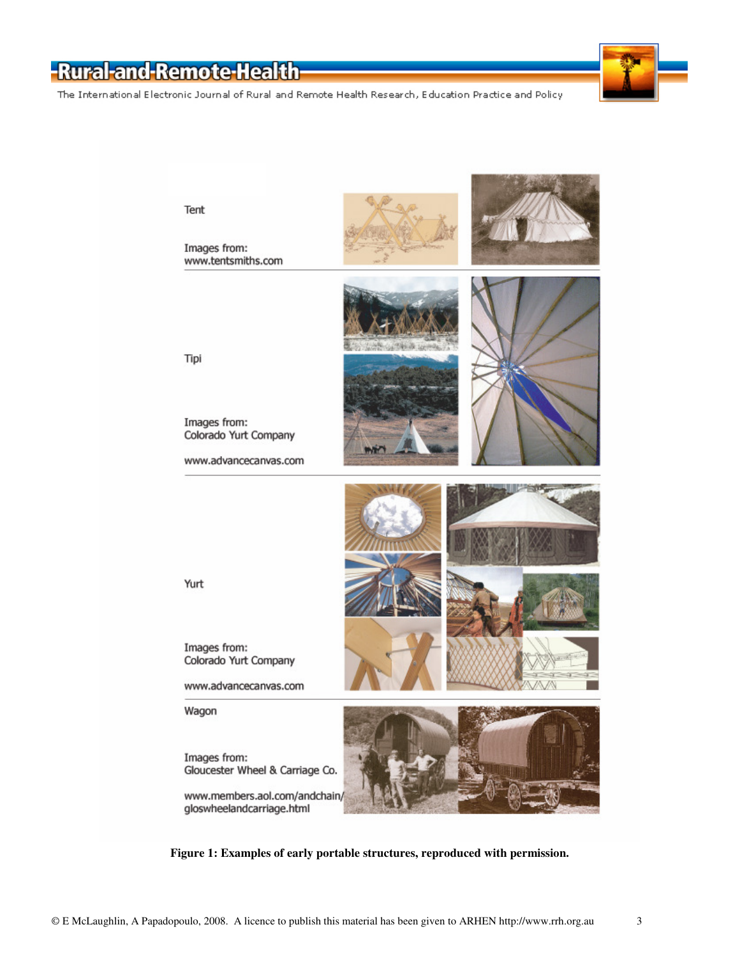The International Electronic Journal of Rural and Remote Health Research, Education Practice and Policy



**Figure 1: Examples of early portable structures, reproduced with permission.**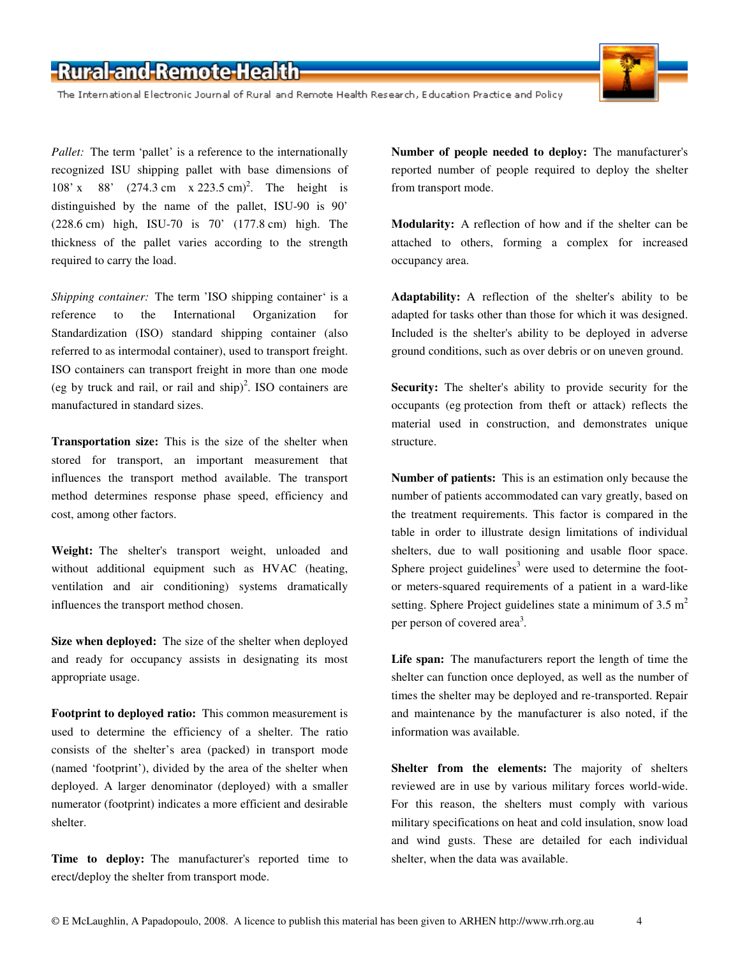

The International Electronic Journal of Rural and Remote Health Research, Education Practice and Policy

*Pallet:* The term 'pallet' is a reference to the internationally recognized ISU shipping pallet with base dimensions of 108' x 88' (274.3 cm x 223.5 cm)<sup>2</sup>. The height is distinguished by the name of the pallet, ISU-90 is 90' (228.6 cm) high, ISU-70 is 70' (177.8 cm) high. The thickness of the pallet varies according to the strength required to carry the load.

*Shipping container:* The term 'ISO shipping container' is a reference to the International Organization for Standardization (ISO) standard shipping container (also referred to as intermodal container), used to transport freight. ISO containers can transport freight in more than one mode (eg by truck and rail, or rail and ship)<sup>2</sup>. ISO containers are manufactured in standard sizes.

**Transportation size:** This is the size of the shelter when stored for transport, an important measurement that influences the transport method available. The transport method determines response phase speed, efficiency and cost, among other factors.

**Weight:** The shelter's transport weight, unloaded and without additional equipment such as HVAC (heating, ventilation and air conditioning) systems dramatically influences the transport method chosen.

**Size when deployed:** The size of the shelter when deployed and ready for occupancy assists in designating its most appropriate usage.

**Footprint to deployed ratio:** This common measurement is used to determine the efficiency of a shelter. The ratio consists of the shelter's area (packed) in transport mode (named 'footprint'), divided by the area of the shelter when deployed. A larger denominator (deployed) with a smaller numerator (footprint) indicates a more efficient and desirable shelter.

**Time to deploy:** The manufacturer's reported time to erect/deploy the shelter from transport mode.

**Number of people needed to deploy:** The manufacturer's reported number of people required to deploy the shelter from transport mode.

**Modularity:** A reflection of how and if the shelter can be attached to others, forming a complex for increased occupancy area.

**Adaptability:** A reflection of the shelter's ability to be adapted for tasks other than those for which it was designed. Included is the shelter's ability to be deployed in adverse ground conditions, such as over debris or on uneven ground.

**Security:** The shelter's ability to provide security for the occupants (eg protection from theft or attack) reflects the material used in construction, and demonstrates unique structure.

**Number of patients:** This is an estimation only because the number of patients accommodated can vary greatly, based on the treatment requirements. This factor is compared in the table in order to illustrate design limitations of individual shelters, due to wall positioning and usable floor space. Sphere project guidelines<sup>3</sup> were used to determine the footor meters-squared requirements of a patient in a ward-like setting. Sphere Project guidelines state a minimum of  $3.5 \text{ m}^2$ per person of covered area<sup>3</sup>.

**Life span:** The manufacturers report the length of time the shelter can function once deployed, as well as the number of times the shelter may be deployed and re-transported. Repair and maintenance by the manufacturer is also noted, if the information was available.

**Shelter from the elements:** The majority of shelters reviewed are in use by various military forces world-wide. For this reason, the shelters must comply with various military specifications on heat and cold insulation, snow load and wind gusts. These are detailed for each individual shelter, when the data was available.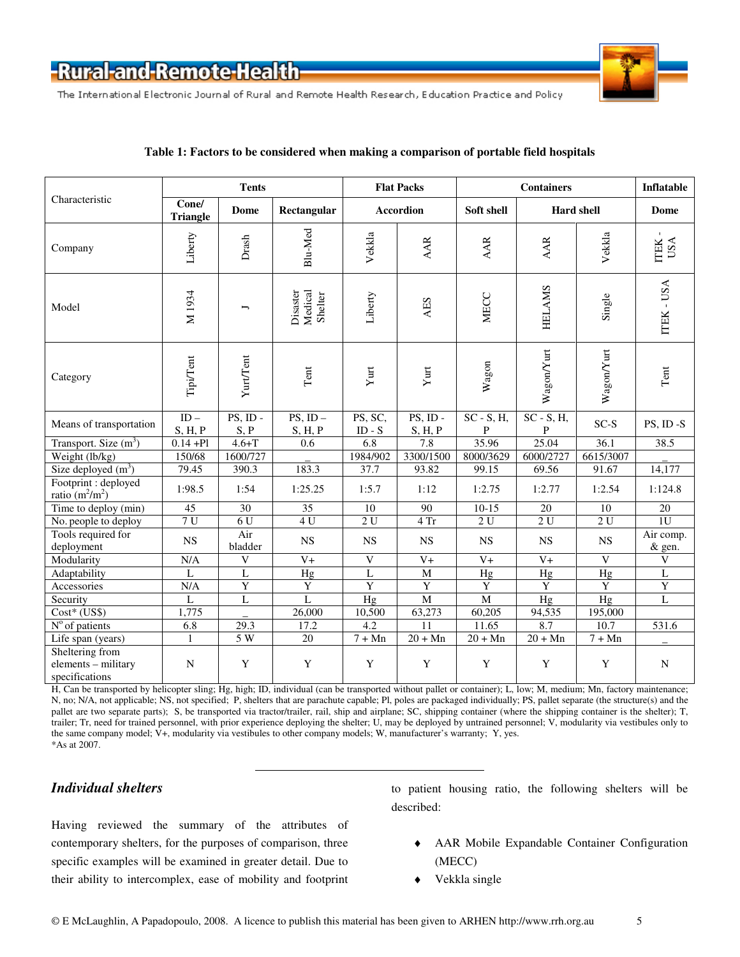

The International Electronic Journal of Rural and Remote Health Research, Education Practice and Policy

|                                                          | <b>Tents</b>             |                     |                                | <b>Flat Packs</b>   |                        | <b>Containers</b>  |                       |             | Inflatable                           |
|----------------------------------------------------------|--------------------------|---------------------|--------------------------------|---------------------|------------------------|--------------------|-----------------------|-------------|--------------------------------------|
| Characteristic                                           | Cone/<br><b>Triangle</b> | Dome                | Rectangular                    | Accordion           |                        | Soft shell         | <b>Hard shell</b>     |             | Dome                                 |
| Company                                                  | Liberty                  | Drash               | Blu-Med                        | Vekkla              | AAR                    | <b>AAR</b>         | AAR                   | Vekkla      | $\blacksquare$<br>USA<br><b>ITEK</b> |
| Model                                                    | M <sub>1934</sub>        | ∽                   | Medical<br>Disaster<br>Shelter | Liberty             | AES                    | <b>MECC</b>        | <b>HELAMS</b>         | Single      | ITEK - USA                           |
| Category                                                 | Tipi/Tent                | Yurt/Tent           | $\mbox{Tent}$                  | Yurt                | Yurt                   | Wagon              | WagonYurt             | Wagon/Yurt  | $\ensuremath{\text{Tent}}$           |
| Means of transportation                                  | $ID -$<br>S, H, P        | $PS$ , ID -<br>S, P | $PS$ , ID $-$<br>S, H, P       | PS, SC,<br>$ID - S$ | $PS$ , ID -<br>S, H, P | $SC - S$ , H,<br>P | $SC - S$ , $H$ ,<br>P | $SC-S$      | PS, ID-S                             |
| Transport. Size $(m^3)$                                  | $0.14 +$ Pl              | $4.6 + T$           | 0.6                            | 6.8                 | 7.8                    | 35.96              | 25.04                 | 36.1        | 38.5                                 |
| Weight (lb/kg)                                           | 150/68                   | 1600/727            |                                | 1984/902            | 3300/1500              | 8000/3629          | 6000/2727             | 6615/3007   |                                      |
| Size deployed $(m^3)$                                    | 79.45                    | 390.3               | 183.3                          | 37.7                | 93.82                  | 99.15              | 69.56                 | 91.67       | 14,177                               |
| Footprint : deployed<br>ratio $(m^2/m^2)$                | 1:98.5                   | 1:54                | 1:25.25                        | 1:5.7               | 1:12                   | 1:2.75             | 1:2.77                | 1:2.54      | 1:124.8                              |
| Time to deploy (min)                                     | 45                       | 30                  | 35                             | 10                  | 90                     | $10-15$            | 20                    | 10          | 20                                   |
| No. people to deploy                                     | 7 <sub>U</sub>           | 6U                  | 4 U                            | 2U                  | 4 Tr                   | 2U                 | 2U                    | 2U          | 1 <sub>U</sub>                       |
| Tools required for<br>deployment                         | <b>NS</b>                | Air<br>bladder      | <b>NS</b>                      | <b>NS</b>           | <b>NS</b>              | <b>NS</b>          | <b>NS</b>             | <b>NS</b>   | Air comp.<br>& gen.                  |
| Modularity                                               | N/A                      | V                   | $V +$                          | V                   | $V +$                  | $V_{+}$            | $V +$                 | V           | V                                    |
| Adaptability                                             | $\mathbf L$              | L                   | Hg                             | L                   | $\overline{M}$         | Hg                 | Hg                    | Hg          | L                                    |
| Accessories                                              | N/A                      | $\mathbf Y$         | $\mathbf Y$                    | $\overline{Y}$      | $\mathbf Y$            | $\mathbf Y$        | $\mathbf Y$           | $\mathbf Y$ | $\mathbf Y$                          |
| Security                                                 | L                        | L                   | $\mathbf L$                    | Hg                  | $\mathbf M$            | $\mathbf M$        | Hg                    | Hg          | $\mathbf L$                          |
| $Cost*$ (US\$)                                           | 1,775                    |                     | 26,000                         | 10,500              | 63,273                 | 60,205             | 94,535                | 195,000     |                                      |
| $No$ of patients                                         | 6.8                      | 29.3                | 17.2                           | 4.2                 | $\overline{11}$        | 11.65              | 8.7                   | 10.7        | 531.6                                |
| Life span (years)                                        | $\mathbf{1}$             | 5 W                 | 20                             | $7 + Mn$            | $20 + Mn$              | $20 + Mn$          | $20 + Mn$             | $7 + Mn$    |                                      |
| Sheltering from<br>elements - military<br>specifications | N                        | Y                   | $\mathbf Y$                    | $\mathbf Y$         | Y                      | Y                  | Y                     | Y           | $\mathbf N$                          |

#### **Table 1: Factors to be considered when making a comparison of portable field hospitals**

H, Can be transported by helicopter sling; Hg, high; ID, individual (can be transported without pallet or container); L, low; M, medium; Mn, factory maintenance; N, no; N/A, not applicable; NS, not specified; P, shelters that are parachute capable; Pl, poles are packaged individually; PS, pallet separate (the structure(s) and the pallet are two separate parts); S, be transported via tractor/trailer, rail, ship and airplane; SC, shipping container (where the shipping container is the shelter); T, trailer; Tr, need for trained personnel, with prior experience deploying the shelter; U, may be deployed by untrained personnel; V, modularity via vestibules only to the same company model; V+, modularity via vestibules to other company models; W, manufacturer's warranty; Y, yes. \*As at 2007.

#### *Individual shelters*

Having reviewed the summary of the attributes of contemporary shelters, for the purposes of comparison, three specific examples will be examined in greater detail. Due to their ability to intercomplex, ease of mobility and footprint to patient housing ratio, the following shelters will be described:

- AAR Mobile Expandable Container Configuration (MECC)
- Vekkla single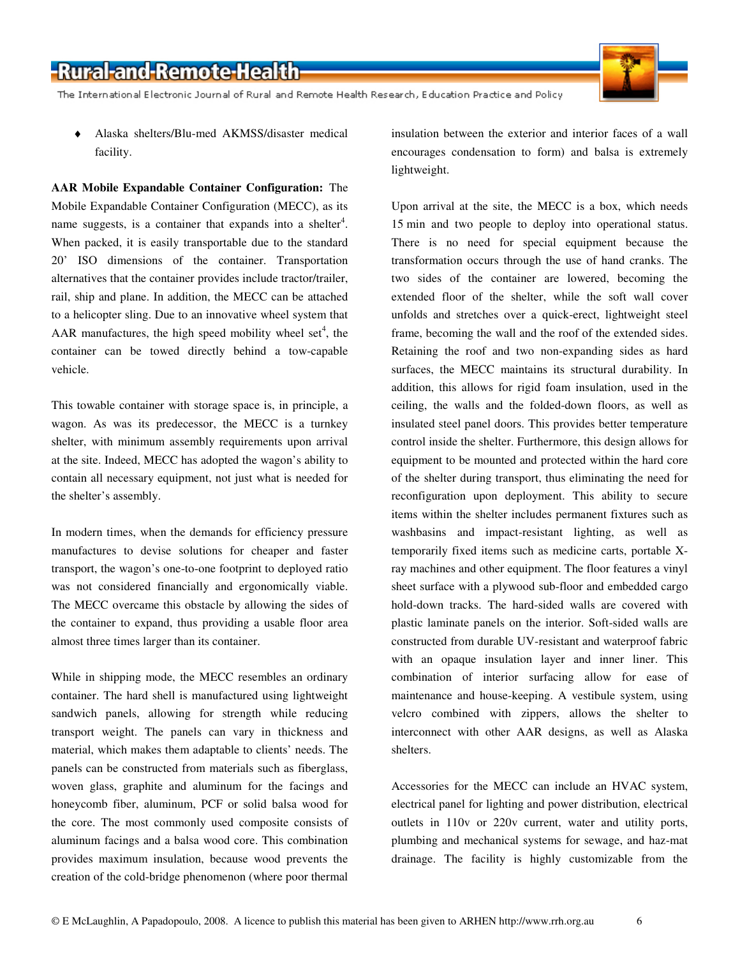The International Electronic Journal of Rural and Remote Health Research, Education Practice and Policy

♦ Alaska shelters/Blu-med AKMSS/disaster medical facility.

**AAR Mobile Expandable Container Configuration:** The Mobile Expandable Container Configuration (MECC), as its name suggests, is a container that expands into a shelter<sup>4</sup>. When packed, it is easily transportable due to the standard 20' ISO dimensions of the container. Transportation alternatives that the container provides include tractor/trailer, rail, ship and plane. In addition, the MECC can be attached to a helicopter sling. Due to an innovative wheel system that AAR manufactures, the high speed mobility wheel set<sup>4</sup>, the container can be towed directly behind a tow-capable vehicle.

This towable container with storage space is, in principle, a wagon. As was its predecessor, the MECC is a turnkey shelter, with minimum assembly requirements upon arrival at the site. Indeed, MECC has adopted the wagon's ability to contain all necessary equipment, not just what is needed for the shelter's assembly.

In modern times, when the demands for efficiency pressure manufactures to devise solutions for cheaper and faster transport, the wagon's one-to-one footprint to deployed ratio was not considered financially and ergonomically viable. The MECC overcame this obstacle by allowing the sides of the container to expand, thus providing a usable floor area almost three times larger than its container.

While in shipping mode, the MECC resembles an ordinary container. The hard shell is manufactured using lightweight sandwich panels, allowing for strength while reducing transport weight. The panels can vary in thickness and material, which makes them adaptable to clients' needs. The panels can be constructed from materials such as fiberglass, woven glass, graphite and aluminum for the facings and honeycomb fiber, aluminum, PCF or solid balsa wood for the core. The most commonly used composite consists of aluminum facings and a balsa wood core. This combination provides maximum insulation, because wood prevents the creation of the cold-bridge phenomenon (where poor thermal insulation between the exterior and interior faces of a wall encourages condensation to form) and balsa is extremely lightweight.

Upon arrival at the site, the MECC is a box, which needs 15 min and two people to deploy into operational status. There is no need for special equipment because the transformation occurs through the use of hand cranks. The two sides of the container are lowered, becoming the extended floor of the shelter, while the soft wall cover unfolds and stretches over a quick-erect, lightweight steel frame, becoming the wall and the roof of the extended sides. Retaining the roof and two non-expanding sides as hard surfaces, the MECC maintains its structural durability. In addition, this allows for rigid foam insulation, used in the ceiling, the walls and the folded-down floors, as well as insulated steel panel doors. This provides better temperature control inside the shelter. Furthermore, this design allows for equipment to be mounted and protected within the hard core of the shelter during transport, thus eliminating the need for reconfiguration upon deployment. This ability to secure items within the shelter includes permanent fixtures such as washbasins and impact-resistant lighting, as well as temporarily fixed items such as medicine carts, portable Xray machines and other equipment. The floor features a vinyl sheet surface with a plywood sub-floor and embedded cargo hold-down tracks. The hard-sided walls are covered with plastic laminate panels on the interior. Soft-sided walls are constructed from durable UV-resistant and waterproof fabric with an opaque insulation layer and inner liner. This combination of interior surfacing allow for ease of maintenance and house-keeping. A vestibule system, using velcro combined with zippers, allows the shelter to interconnect with other AAR designs, as well as Alaska shelters.

Accessories for the MECC can include an HVAC system, electrical panel for lighting and power distribution, electrical outlets in 110v or 220v current, water and utility ports, plumbing and mechanical systems for sewage, and haz-mat drainage. The facility is highly customizable from the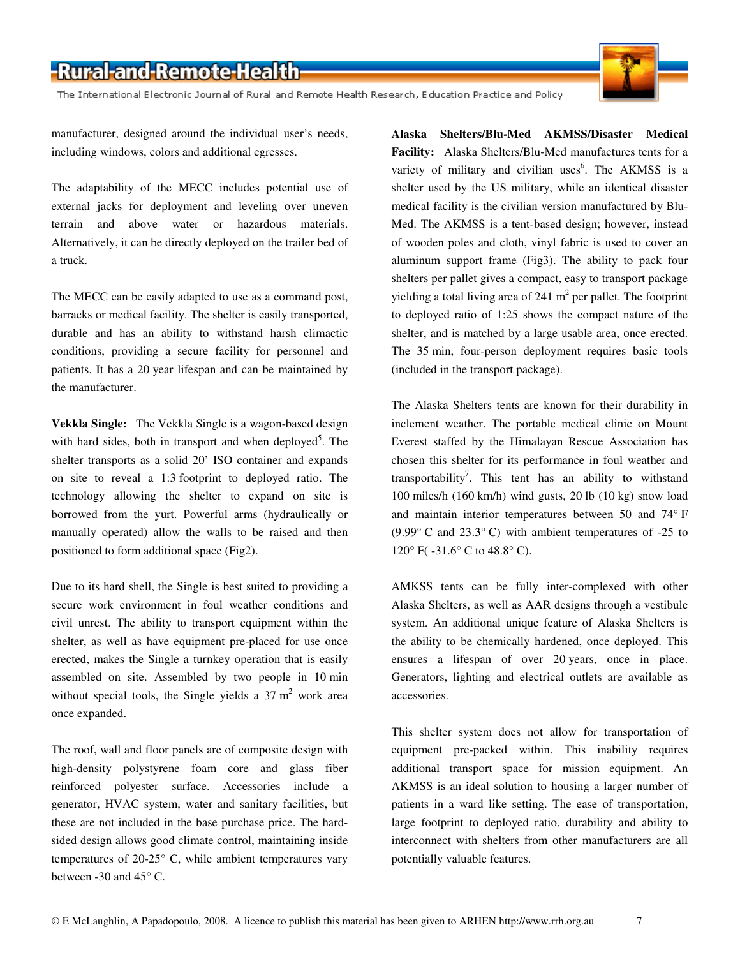The International Electronic Journal of Rural and Remote Health Research, Education Practice and Policy



manufacturer, designed around the individual user's needs, including windows, colors and additional egresses.

The adaptability of the MECC includes potential use of external jacks for deployment and leveling over uneven terrain and above water or hazardous materials. Alternatively, it can be directly deployed on the trailer bed of a truck.

The MECC can be easily adapted to use as a command post, barracks or medical facility. The shelter is easily transported, durable and has an ability to withstand harsh climactic conditions, providing a secure facility for personnel and patients. It has a 20 year lifespan and can be maintained by the manufacturer.

**Vekkla Single:** The Vekkla Single is a wagon-based design with hard sides, both in transport and when deployed<sup>5</sup>. The shelter transports as a solid 20' ISO container and expands on site to reveal a 1:3 footprint to deployed ratio. The technology allowing the shelter to expand on site is borrowed from the yurt. Powerful arms (hydraulically or manually operated) allow the walls to be raised and then positioned to form additional space (Fig2).

Due to its hard shell, the Single is best suited to providing a secure work environment in foul weather conditions and civil unrest. The ability to transport equipment within the shelter, as well as have equipment pre-placed for use once erected, makes the Single a turnkey operation that is easily assembled on site. Assembled by two people in 10 min without special tools, the Single yields a  $37 \text{ m}^2$  work area once expanded.

The roof, wall and floor panels are of composite design with high-density polystyrene foam core and glass fiber reinforced polyester surface. Accessories include a generator, HVAC system, water and sanitary facilities, but these are not included in the base purchase price. The hardsided design allows good climate control, maintaining inside temperatures of 20-25° C, while ambient temperatures vary between -30 and 45° C.

**Alaska Shelters/Blu-Med AKMSS/Disaster Medical Facility:** Alaska Shelters/Blu-Med manufactures tents for a variety of military and civilian uses<sup>6</sup>. The AKMSS is a shelter used by the US military, while an identical disaster medical facility is the civilian version manufactured by Blu-Med. The AKMSS is a tent-based design; however, instead of wooden poles and cloth, vinyl fabric is used to cover an aluminum support frame (Fig3). The ability to pack four shelters per pallet gives a compact, easy to transport package yielding a total living area of 241  $m<sup>2</sup>$  per pallet. The footprint to deployed ratio of 1:25 shows the compact nature of the shelter, and is matched by a large usable area, once erected. The 35 min, four-person deployment requires basic tools (included in the transport package).

The Alaska Shelters tents are known for their durability in inclement weather. The portable medical clinic on Mount Everest staffed by the Himalayan Rescue Association has chosen this shelter for its performance in foul weather and transportability<sup>7</sup>. This tent has an ability to withstand 100 miles/h (160 km/h) wind gusts, 20 lb (10 kg) snow load and maintain interior temperatures between 50 and 74° F (9.99° C and 23.3° C) with ambient temperatures of -25 to 120° F( -31.6° C to 48.8° C).

AMKSS tents can be fully inter-complexed with other Alaska Shelters, as well as AAR designs through a vestibule system. An additional unique feature of Alaska Shelters is the ability to be chemically hardened, once deployed. This ensures a lifespan of over 20 years, once in place. Generators, lighting and electrical outlets are available as accessories.

This shelter system does not allow for transportation of equipment pre-packed within. This inability requires additional transport space for mission equipment. An AKMSS is an ideal solution to housing a larger number of patients in a ward like setting. The ease of transportation, large footprint to deployed ratio, durability and ability to interconnect with shelters from other manufacturers are all potentially valuable features.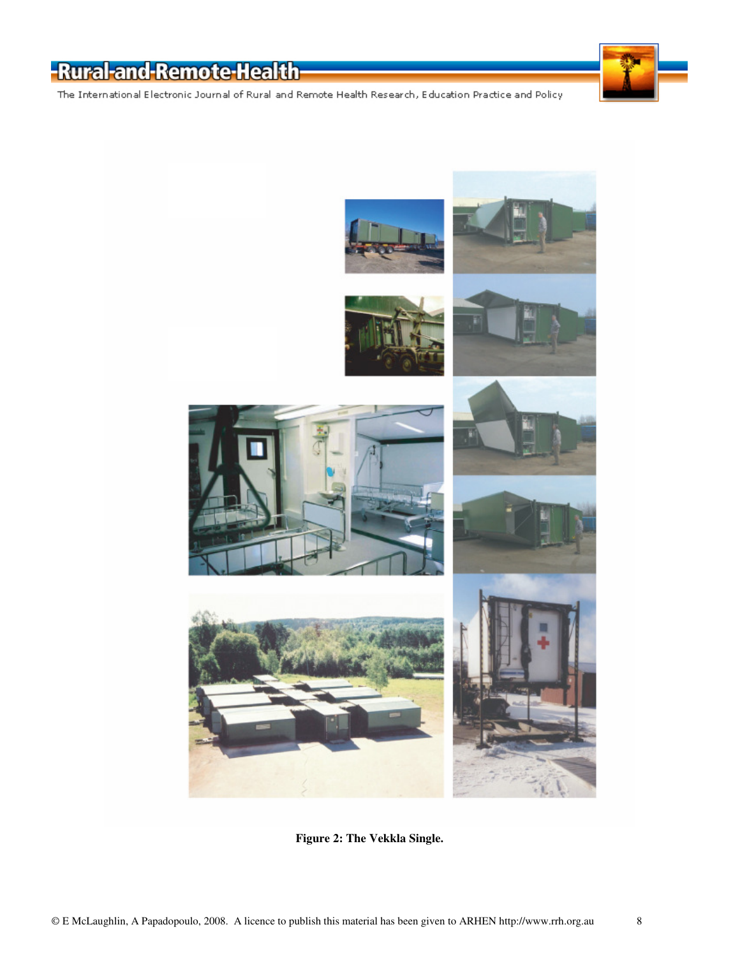The International Electronic Journal of Rural and Remote Health Research, Education Practice and Policy



**Figure 2: The Vekkla Single.**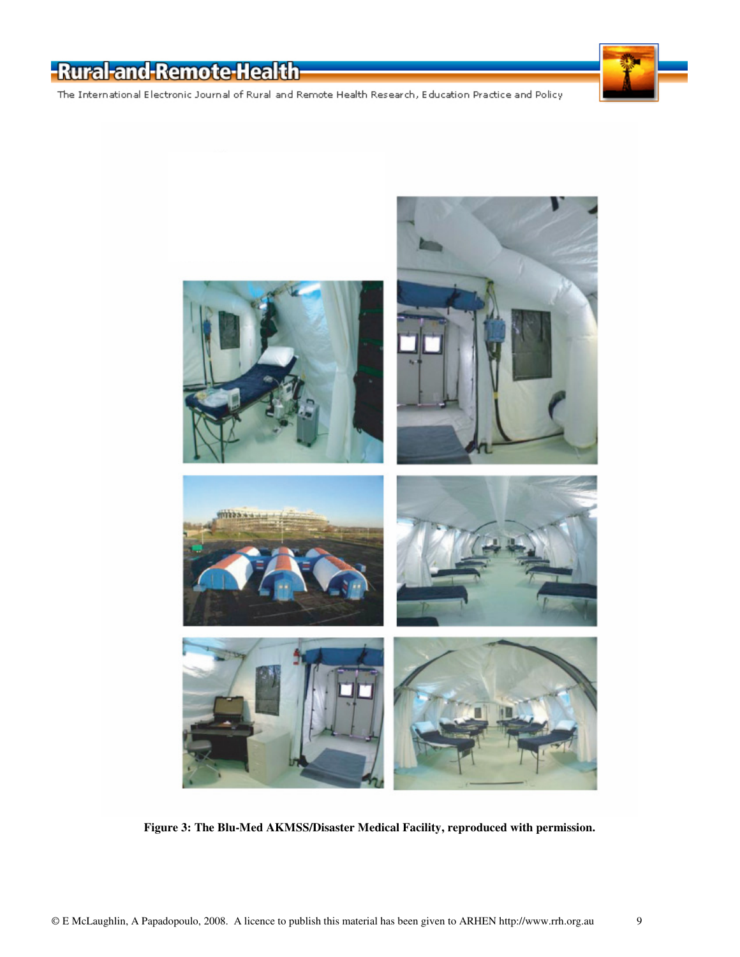The International Electronic Journal of Rural and Remote Health Research, Education Practice and Policy



**Figure 3: The Blu-Med AKMSS/Disaster Medical Facility, reproduced with permission.**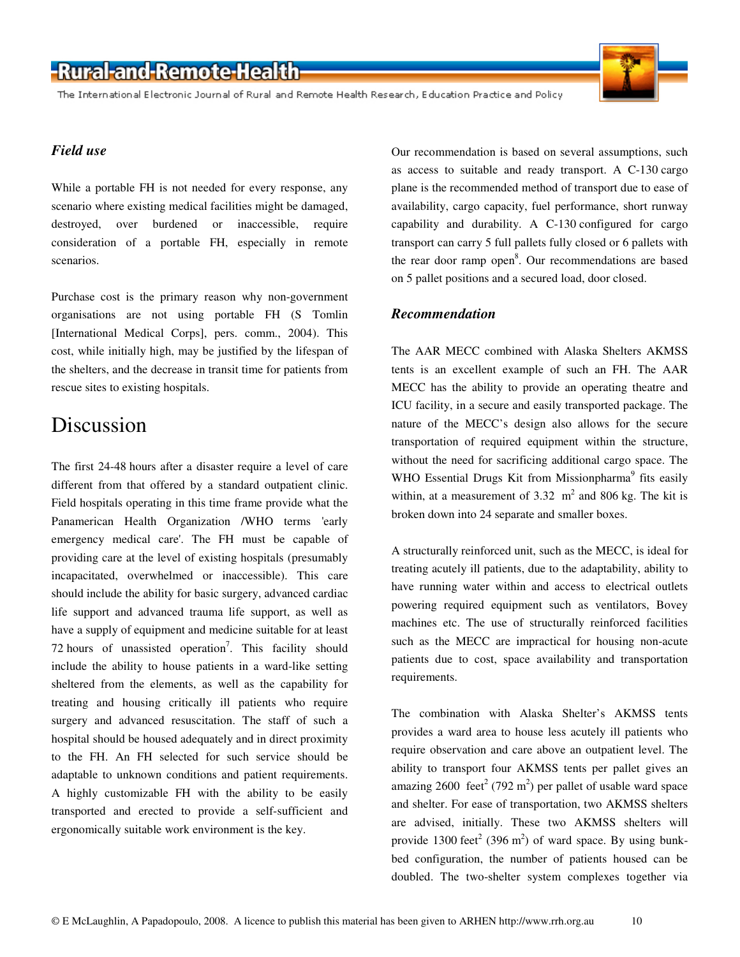The International Electronic Journal of Rural and Remote Health Research, Education Practice and Policy

#### *Field use*

While a portable FH is not needed for every response, any scenario where existing medical facilities might be damaged, destroyed, over burdened or inaccessible, require consideration of a portable FH, especially in remote scenarios.

Purchase cost is the primary reason why non-government organisations are not using portable FH (S Tomlin [International Medical Corps], pers. comm., 2004). This cost, while initially high, may be justified by the lifespan of the shelters, and the decrease in transit time for patients from rescue sites to existing hospitals.

#### Discussion

The first 24-48 hours after a disaster require a level of care different from that offered by a standard outpatient clinic. Field hospitals operating in this time frame provide what the Panamerican Health Organization /WHO terms 'early emergency medical care'. The FH must be capable of providing care at the level of existing hospitals (presumably incapacitated, overwhelmed or inaccessible). This care should include the ability for basic surgery, advanced cardiac life support and advanced trauma life support, as well as have a supply of equipment and medicine suitable for at least 72 hours of unassisted operation<sup>7</sup>. This facility should include the ability to house patients in a ward-like setting sheltered from the elements, as well as the capability for treating and housing critically ill patients who require surgery and advanced resuscitation. The staff of such a hospital should be housed adequately and in direct proximity to the FH. An FH selected for such service should be adaptable to unknown conditions and patient requirements. A highly customizable FH with the ability to be easily transported and erected to provide a self-sufficient and ergonomically suitable work environment is the key.

Our recommendation is based on several assumptions, such as access to suitable and ready transport. A C-130 cargo plane is the recommended method of transport due to ease of availability, cargo capacity, fuel performance, short runway capability and durability. A C-130 configured for cargo transport can carry 5 full pallets fully closed or 6 pallets with the rear door ramp open<sup>8</sup>. Our recommendations are based on 5 pallet positions and a secured load, door closed.

#### *Recommendation*

The AAR MECC combined with Alaska Shelters AKMSS tents is an excellent example of such an FH. The AAR MECC has the ability to provide an operating theatre and ICU facility, in a secure and easily transported package. The nature of the MECC's design also allows for the secure transportation of required equipment within the structure, without the need for sacrificing additional cargo space. The WHO Essential Drugs Kit from Missionpharma<sup>9</sup> fits easily within, at a measurement of  $3.32 \text{ m}^2$  and  $806 \text{ kg}$ . The kit is broken down into 24 separate and smaller boxes.

A structurally reinforced unit, such as the MECC, is ideal for treating acutely ill patients, due to the adaptability, ability to have running water within and access to electrical outlets powering required equipment such as ventilators, Bovey machines etc. The use of structurally reinforced facilities such as the MECC are impractical for housing non-acute patients due to cost, space availability and transportation requirements.

The combination with Alaska Shelter's AKMSS tents provides a ward area to house less acutely ill patients who require observation and care above an outpatient level. The ability to transport four AKMSS tents per pallet gives an amazing 2600 feet<sup>2</sup> (792 m<sup>2</sup>) per pallet of usable ward space and shelter. For ease of transportation, two AKMSS shelters are advised, initially. These two AKMSS shelters will provide 1300 feet<sup>2</sup> (396 m<sup>2</sup>) of ward space. By using bunkbed configuration, the number of patients housed can be doubled. The two-shelter system complexes together via



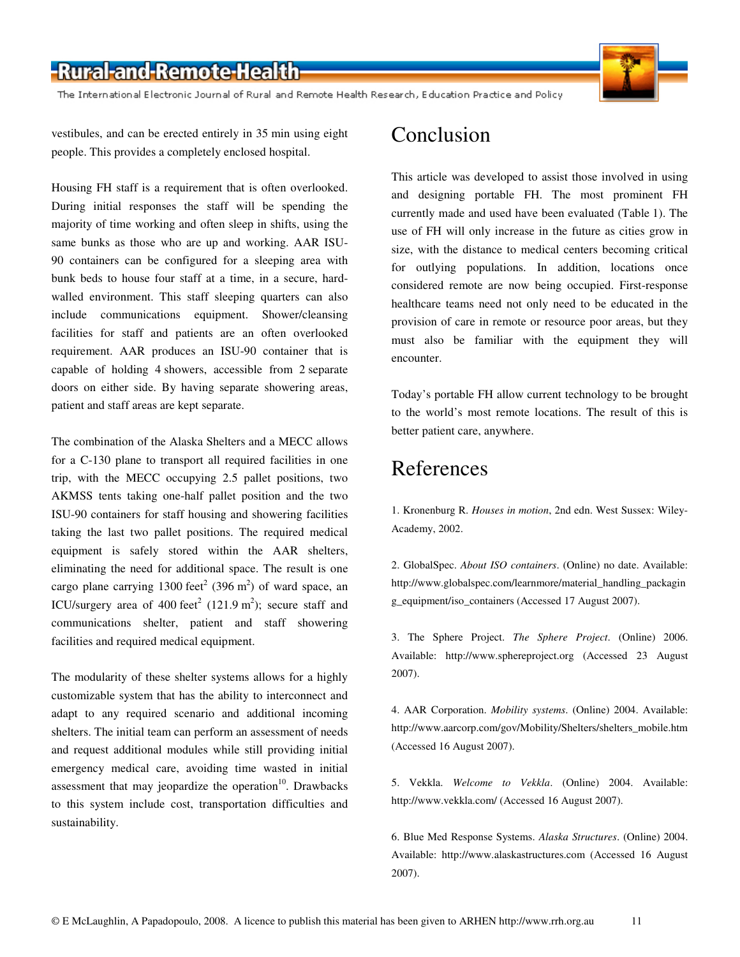The International Electronic Journal of Rural and Remote Health Research, Education Practice and Policy

vestibules, and can be erected entirely in 35 min using eight people. This provides a completely enclosed hospital.

Housing FH staff is a requirement that is often overlooked. During initial responses the staff will be spending the majority of time working and often sleep in shifts, using the same bunks as those who are up and working. AAR ISU-90 containers can be configured for a sleeping area with bunk beds to house four staff at a time, in a secure, hardwalled environment. This staff sleeping quarters can also include communications equipment. Shower/cleansing facilities for staff and patients are an often overlooked requirement. AAR produces an ISU-90 container that is capable of holding 4 showers, accessible from 2 separate doors on either side. By having separate showering areas, patient and staff areas are kept separate.

The combination of the Alaska Shelters and a MECC allows for a C-130 plane to transport all required facilities in one trip, with the MECC occupying 2.5 pallet positions, two AKMSS tents taking one-half pallet position and the two ISU-90 containers for staff housing and showering facilities taking the last two pallet positions. The required medical equipment is safely stored within the AAR shelters, eliminating the need for additional space. The result is one cargo plane carrying 1300 feet<sup>2</sup> (396 m<sup>2</sup>) of ward space, an ICU/surgery area of 400 feet<sup>2</sup> (121.9 m<sup>2</sup>); secure staff and communications shelter, patient and staff showering facilities and required medical equipment.

The modularity of these shelter systems allows for a highly customizable system that has the ability to interconnect and adapt to any required scenario and additional incoming shelters. The initial team can perform an assessment of needs and request additional modules while still providing initial emergency medical care, avoiding time wasted in initial assessment that may jeopardize the operation $10$ . Drawbacks to this system include cost, transportation difficulties and sustainability.

#### Conclusion

This article was developed to assist those involved in using and designing portable FH. The most prominent FH currently made and used have been evaluated (Table 1). The use of FH will only increase in the future as cities grow in size, with the distance to medical centers becoming critical for outlying populations. In addition, locations once considered remote are now being occupied. First-response healthcare teams need not only need to be educated in the provision of care in remote or resource poor areas, but they must also be familiar with the equipment they will encounter.

Today's portable FH allow current technology to be brought to the world's most remote locations. The result of this is better patient care, anywhere.

#### References

1. Kronenburg R. *Houses in motion*, 2nd edn. West Sussex: Wiley-Academy, 2002.

2. GlobalSpec. *About ISO containers*. (Online) no date. Available: http://www.globalspec.com/learnmore/material\_handling\_packagin g\_equipment/iso\_containers (Accessed 17 August 2007).

3. The Sphere Project. *The Sphere Project*. (Online) 2006. Available: http://www.sphereproject.org (Accessed 23 August 2007).

4. AAR Corporation. *Mobility systems*. (Online) 2004. Available: http://www.aarcorp.com/gov/Mobility/Shelters/shelters\_mobile.htm (Accessed 16 August 2007).

5. Vekkla. *Welcome to Vekkla*. (Online) 2004. Available: http://www.vekkla.com/ (Accessed 16 August 2007).

6. Blue Med Response Systems. *Alaska Structures*. (Online) 2004. Available: http://www.alaskastructures.com (Accessed 16 August 2007).